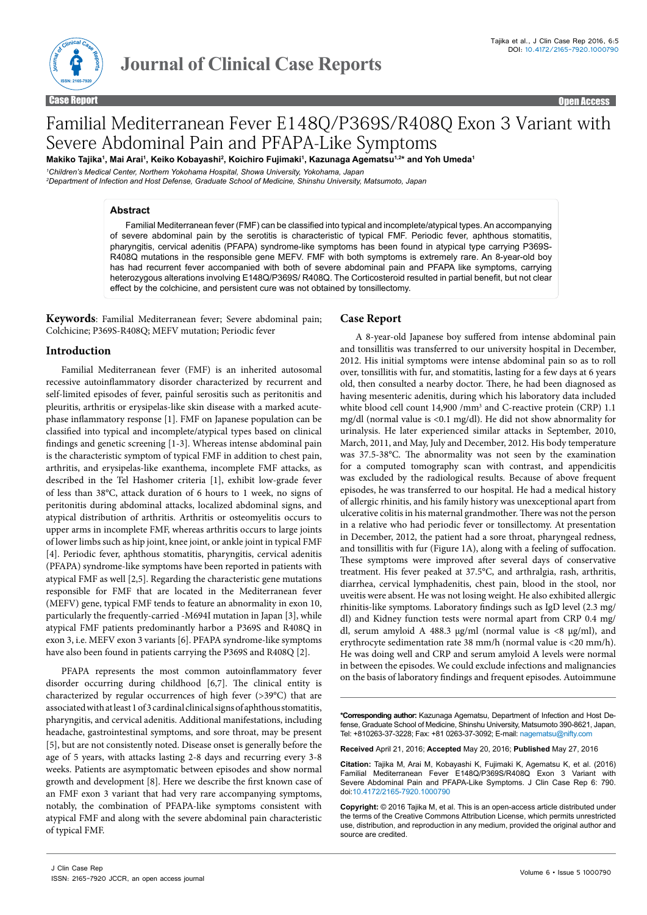

Case Report **Case Report Case of the Case Report Case Report Case Report Case Report Case Report Case Report Case Report Case Report Case Report Case Report Case Report Case Report Case Report Case Report Case Report Case** 

# Familial Mediterranean Fever E148Q/P369S/R408Q Exon 3 Variant with Severe Abdominal Pain and PFAPA-Like Symptoms

Makiko Tajika<sup>1</sup>, Mai Arai<sup>1</sup>, Keiko Kobayashi<sup>2</sup>, Koichiro Fujimaki<sup>1</sup>, Kazunaga Agematsu<sup>1,2</sup>\* and Yoh Umeda<sup>1</sup>

*1 Children's Medical Center, Northern Yokohama Hospital, Showa University, Yokohama, Japan*

*2 Department of Infection and Host Defense, Graduate School of Medicine, Shinshu University, Matsumoto, Japan*

#### **Abstract**

Familial Mediterranean fever (FMF) can be classified into typical and incomplete/atypical types. An accompanying of severe abdominal pain by the serotitis is characteristic of typical FMF. Periodic fever, aphthous stomatitis, pharyngitis, cervical adenitis (PFAPA) syndrome-like symptoms has been found in atypical type carrying P369S-R408Q mutations in the responsible gene MEFV. FMF with both symptoms is extremely rare. An 8-year-old boy has had recurrent fever accompanied with both of severe abdominal pain and PFAPA like symptoms, carrying heterozygous alterations involving E148Q/P369S/ R408Q. The Corticosteroid resulted in partial benefit, but not clear effect by the colchicine, and persistent cure was not obtained by tonsillectomy.

**Keywords**: Familial Mediterranean fever; Severe abdominal pain; Colchicine; P369S-R408Q; MEFV mutation; Periodic fever

### **Introduction**

Familial Mediterranean fever (FMF) is an inherited autosomal recessive autoinflammatory disorder characterized by recurrent and self-limited episodes of fever, painful serositis such as peritonitis and pleuritis, arthritis or erysipelas-like skin disease with a marked acutephase inflammatory response [1]. FMF on Japanese population can be classified into typical and incomplete/atypical types based on clinical findings and genetic screening [1-3]. Whereas intense abdominal pain is the characteristic symptom of typical FMF in addition to chest pain, arthritis, and erysipelas-like exanthema, incomplete FMF attacks, as described in the Tel Hashomer criteria [1], exhibit low-grade fever of less than 38°C, attack duration of 6 hours to 1 week, no signs of peritonitis during abdominal attacks, localized abdominal signs, and atypical distribution of arthritis. Arthritis or osteomyelitis occurs to upper arms in incomplete FMF, whereas arthritis occurs to large joints of lower limbs such as hip joint, knee joint, or ankle joint in typical FMF [4]. Periodic fever, aphthous stomatitis, pharyngitis, cervical adenitis (PFAPA) syndrome-like symptoms have been reported in patients with atypical FMF as well [2,5]. Regarding the characteristic gene mutations responsible for FMF that are located in the Mediterranean fever (MEFV) gene, typical FMF tends to feature an abnormality in exon 10, particularly the frequently-carried -M694I mutation in Japan [3], while atypical FMF patients predominantly harbor a P369S and R408Q in exon 3, i.e. MEFV exon 3 variants [6]. PFAPA syndrome-like symptoms have also been found in patients carrying the P369S and R408Q [2].

PFAPA represents the most common autoinflammatory fever disorder occurring during childhood [6,7]. The clinical entity is characterized by regular occurrences of high fever (>39°C) that are associated with at least 1 of 3 cardinal clinical signs of aphthous stomatitis, pharyngitis, and cervical adenitis. Additional manifestations, including headache, gastrointestinal symptoms, and sore throat, may be present [5], but are not consistently noted. Disease onset is generally before the age of 5 years, with attacks lasting 2-8 days and recurring every 3-8 weeks. Patients are asymptomatic between episodes and show normal growth and development [8]. Here we describe the first known case of an FMF exon 3 variant that had very rare accompanying symptoms, notably, the combination of PFAPA-like symptoms consistent with atypical FMF and along with the severe abdominal pain characteristic of typical FMF.

#### **Case Report**

A 8-year-old Japanese boy suffered from intense abdominal pain and tonsillitis was transferred to our university hospital in December, 2012. His initial symptoms were intense abdominal pain so as to roll over, tonsillitis with fur, and stomatitis, lasting for a few days at 6 years old, then consulted a nearby doctor. There, he had been diagnosed as having mesenteric adenitis, during which his laboratory data included white blood cell count 14,900 /mm<sup>3</sup> and C-reactive protein (CRP) 1.1 mg/dl (normal value is <0.1 mg/dl). He did not show abnormality for urinalysis. He later experienced similar attacks in September, 2010, March, 2011, and May, July and December, 2012. His body temperature was 37.5-38°C. The abnormality was not seen by the examination for a computed tomography scan with contrast, and appendicitis was excluded by the radiological results. Because of above frequent episodes, he was transferred to our hospital. He had a medical history of allergic rhinitis, and his family history was unexceptional apart from ulcerative colitis in his maternal grandmother. There was not the person in a relative who had periodic fever or tonsillectomy. At presentation in December, 2012, the patient had a sore throat, pharyngeal redness, and tonsillitis with fur (Figure 1A), along with a feeling of suffocation. These symptoms were improved after several days of conservative treatment. His fever peaked at 37.5°C, and arthralgia, rash, arthritis, diarrhea, cervical lymphadenitis, chest pain, blood in the stool, nor uveitis were absent. He was not losing weight. He also exhibited allergic rhinitis-like symptoms. Laboratory findings such as IgD level (2.3 mg/ dl) and Kidney function tests were normal apart from CRP 0.4 mg/ dl, serum amyloid A 488.3 μg/ml (normal value is <8 μg/ml), and erythrocyte sedimentation rate 38 mm/h (normal value is <20 mm/h). He was doing well and CRP and serum amyloid A levels were normal in between the episodes. We could exclude infections and malignancies on the basis of laboratory findings and frequent episodes. Autoimmune

**\*Corresponding author:** Kazunaga Agematsu, Department of Infection and Host Defense, Graduate School of Medicine, Shinshu University, Matsumoto 390-8621, Japan, Tel: +810263-37-3228; Fax: +81 0263-37-3092; E-mail: nagematsu@nifty.com

**Received** April 21, 2016; **Accepted** May 20, 2016; **Published** May 27, 2016

**Citation:** Tajika M, Arai M, Kobayashi K, Fujimaki K, Agematsu K, et al. (2016) Familial Mediterranean Fever E148Q/P369S/R408Q Exon 3 Variant with Severe Abdominal Pain and PFAPA-Like Symptoms. J Clin Case Rep 6: 790. doi:[10.4172/2165-7920.1000790](http://dx.doi.org/10.4172/2165-7920.1000790)

**Copyright:** © 2016 Tajika M, et al. This is an open-access article distributed under the terms of the Creative Commons Attribution License, which permits unrestricted use, distribution, and reproduction in any medium, provided the original author and source are credited.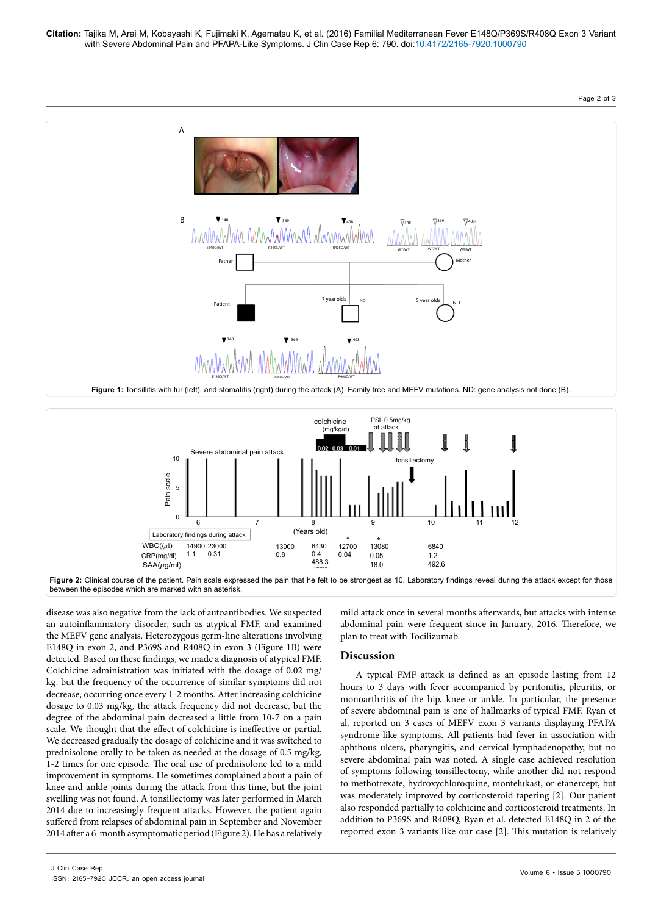Page 2 of 3





between the episodes which are marked with an asterisk.

disease was also negative from the lack of autoantibodies. We suspected an autoinflammatory disorder, such as atypical FMF, and examined the MEFV gene analysis. Heterozygous germ-line alterations involving E148Q in exon 2, and P369S and R408Q in exon 3 (Figure 1B) were detected. Based on these findings, we made a diagnosis of atypical FMF. Colchicine administration was initiated with the dosage of 0.02 mg/ kg, but the frequency of the occurrence of similar symptoms did not decrease, occurring once every 1-2 months. After increasing colchicine dosage to 0.03 mg/kg, the attack frequency did not decrease, but the degree of the abdominal pain decreased a little from 10-7 on a pain scale. We thought that the effect of colchicine is ineffective or partial. We decreased gradually the dosage of colchicine and it was switched to prednisolone orally to be taken as needed at the dosage of 0.5 mg/kg, 1-2 times for one episode. The oral use of prednisolone led to a mild improvement in symptoms. He sometimes complained about a pain of knee and ankle joints during the attack from this time, but the joint swelling was not found. A tonsillectomy was later performed in March 2014 due to increasingly frequent attacks. However, the patient again suffered from relapses of abdominal pain in September and November 2014 after a 6-month asymptomatic period (Figure 2). He has a relatively

mild attack once in several months afterwards, but attacks with intense abdominal pain were frequent since in January, 2016. Therefore, we plan to treat with Tocilizumab.

## **Discussion**

A typical FMF attack is defined as an episode lasting from 12 hours to 3 days with fever accompanied by peritonitis, pleuritis, or monoarthritis of the hip, knee or ankle. In particular, the presence of severe abdominal pain is one of hallmarks of typical FMF. Ryan et al. reported on 3 cases of MEFV exon 3 variants displaying PFAPA syndrome-like symptoms. All patients had fever in association with aphthous ulcers, pharyngitis, and cervical lymphadenopathy, but no severe abdominal pain was noted. A single case achieved resolution of symptoms following tonsillectomy, while another did not respond to methotrexate, hydroxychloroquine, montelukast, or etanercept, but was moderately improved by corticosteroid tapering [2]. Our patient also responded partially to colchicine and corticosteroid treatments. In addition to P369S and R408Q, Ryan et al. detected E148Q in 2 of the reported exon 3 variants like our case [2]. This mutation is relatively